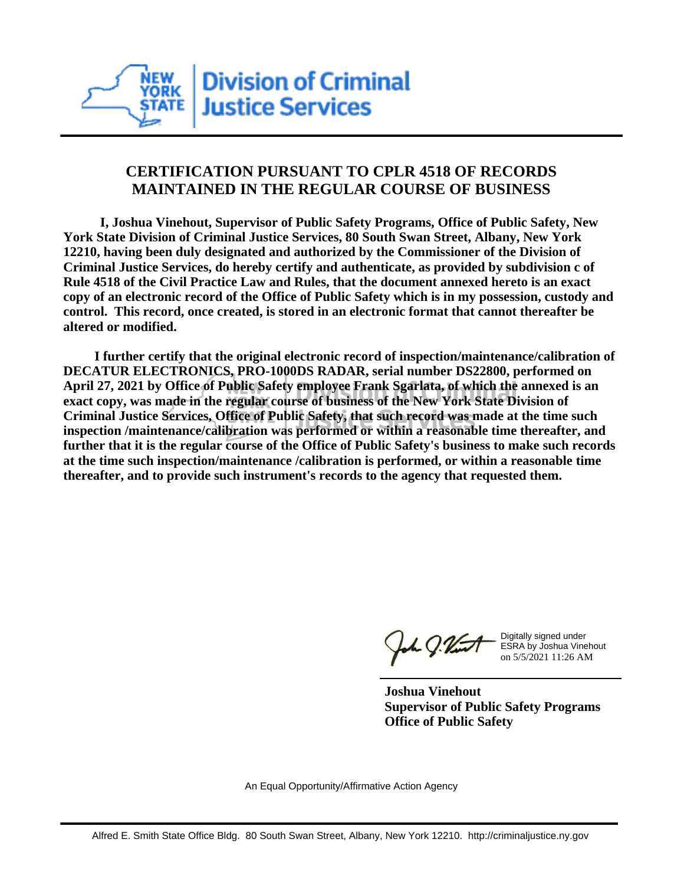

## **CERTIFICATION PURSUANT TO CPLR 4518 OF RECORDS MAINTAINED IN THE REGULAR COURSE OF BUSINESS**

 **I, Joshua Vinehout, Supervisor of Public Safety Programs, Office of Public Safety, New York State Division of Criminal Justice Services, 80 South Swan Street, Albany, New York 12210, having been duly designated and authorized by the Commissioner of the Division of Criminal Justice Services, do hereby certify and authenticate, as provided by subdivision c of Rule 4518 of the Civil Practice Law and Rules, that the document annexed hereto is an exact copy of an electronic record of the Office of Public Safety which is in my possession, custody and control. This record, once created, is stored in an electronic format that cannot thereafter be altered or modified.**

 **I further certify that the original electronic record of inspection/maintenance/calibration of DECATUR ELECTRONICS, PRO-1000DS RADAR, serial number DS22800, performed on April 27, 2021 by Office of Public Safety employee Frank Sgarlata, of which the annexed is an exact copy, was made in the regular course of business of the New York State Division of Criminal Justice Services, Office of Public Safety, that such record was made at the time such inspection /maintenance/calibration was performed or within a reasonable time thereafter, and further that it is the regular course of the Office of Public Safety's business to make such records at the time such inspection/maintenance /calibration is performed, or within a reasonable time thereafter, and to provide such instrument's records to the agency that requested them.**

the g. Vint

Digitally signed under ESRA by Joshua Vinehout on 5/5/2021 11:26 AM

**Joshua Vinehout Supervisor of Public Safety Programs Office of Public Safety**

An Equal Opportunity/Affirmative Action Agency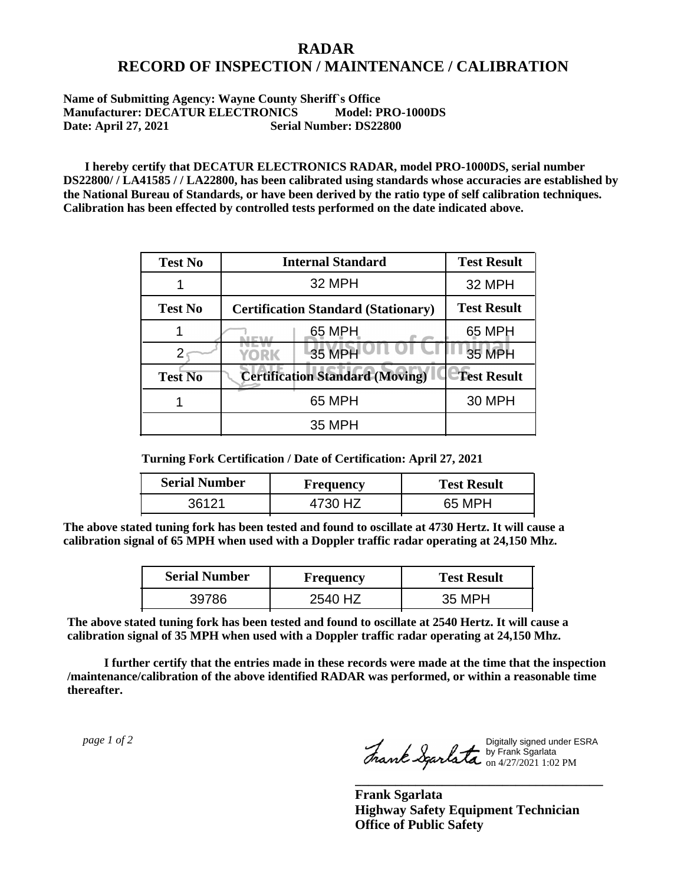## **RADAR RECORD OF INSPECTION / MAINTENANCE / CALIBRATION**

## **Name of Submitting Agency: Wayne County Sheriff`s Office Manufacturer: DECATUR ELECTRONICS Model: PRO-1000DS Date: April 27, 2021** Serial Number: DS22800

 **I hereby certify that DECATUR ELECTRONICS RADAR, model PRO-1000DS, serial number DS22800/ / LA41585 / / LA22800, has been calibrated using standards whose accuracies are established by the National Bureau of Standards, or have been derived by the ratio type of self calibration techniques. Calibration has been effected by controlled tests performed on the date indicated above.**

| <b>Test No</b> | <b>Internal Standard</b>                   | <b>Test Result</b> |
|----------------|--------------------------------------------|--------------------|
|                | 32 MPH                                     | 32 MPH             |
| <b>Test No</b> | <b>Certification Standard (Stationary)</b> | <b>Test Result</b> |
|                | 65 MPH                                     | 65 MPH             |
|                | 35 MPH<br>YORK                             | <b>35 MPH</b>      |
| <b>Test No</b> | <b>Certification Standard (Moving)</b>     | <b>Test Result</b> |
|                | 65 MPH                                     | <b>30 MPH</b>      |
|                | 35 MPH                                     |                    |

**Turning Fork Certification / Date of Certification: April 27, 2021**

| <b>Serial Number</b> | <b>Frequency</b> | <b>Test Result</b> |
|----------------------|------------------|--------------------|
|                      |                  | 65 MPH             |

**The above stated tuning fork has been tested and found to oscillate at 4730 Hertz. It will cause a calibration signal of 65 MPH when used with a Doppler traffic radar operating at 24,150 Mhz.**

| <b>Serial Number</b> | <b>Frequency</b> | <b>Test Result</b> |
|----------------------|------------------|--------------------|
| 39786                | 2540 HZ          | 35 MPH             |

**The above stated tuning fork has been tested and found to oscillate at 2540 Hertz. It will cause a calibration signal of 35 MPH when used with a Doppler traffic radar operating at 24,150 Mhz.**

 **I further certify that the entries made in these records were made at the time that the inspection /maintenance/calibration of the above identified RADAR was performed, or within a reasonable time thereafter.**

 *page 1 of 2* 

Digitally signed under ESRA by Frank Sgarlata on 4/27/2021 1:02 PM

**\_\_\_\_\_\_\_\_\_\_\_\_\_\_\_\_\_\_\_\_\_\_\_\_\_\_\_\_\_\_\_\_\_\_\_\_\_**

**Frank Sgarlata Highway Safety Equipment Technician Office of Public Safety**